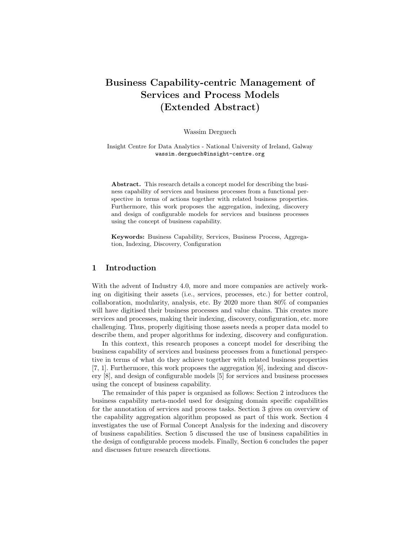# Business Capability-centric Management of Services and Process Models (Extended Abstract)

Wassim Derguech

Insight Centre for Data Analytics - National University of Ireland, Galway wassim.derguech@insight-centre.org

Abstract. This research details a concept model for describing the business capability of services and business processes from a functional perspective in terms of actions together with related business properties. Furthermore, this work proposes the aggregation, indexing, discovery and design of configurable models for services and business processes using the concept of business capability.

Keywords: Business Capability, Services, Business Process, Aggregation, Indexing, Discovery, Configuration

#### 1 Introduction

With the advent of Industry 4.0, more and more companies are actively working on digitising their assets (i.e., services, processes, etc.) for better control, collaboration, modularity, analysis, etc. By 2020 more than 80% of companies will have digitised their business processes and value chains. This creates more services and processes, making their indexing, discovery, configuration, etc. more challenging. Thus, properly digitising those assets needs a proper data model to describe them, and proper algorithms for indexing, discovery and configuration.

In this context, this research proposes a concept model for describing the business capability of services and business processes from a functional perspective in terms of what do they achieve together with related business properties [7, 1]. Furthermore, this work proposes the aggregation [6], indexing and discovery [8], and design of configurable models [5] for services and business processes using the concept of business capability.

The remainder of this paper is organised as follows: Section 2 introduces the business capability meta-model used for designing domain specific capabilities for the annotation of services and process tasks. Section 3 gives on overview of the capability aggregation algorithm proposed as part of this work. Section 4 investigates the use of Formal Concept Analysis for the indexing and discovery of business capabilities. Section 5 discussed the use of business capabilities in the design of configurable process models. Finally, Section 6 concludes the paper and discusses future research directions.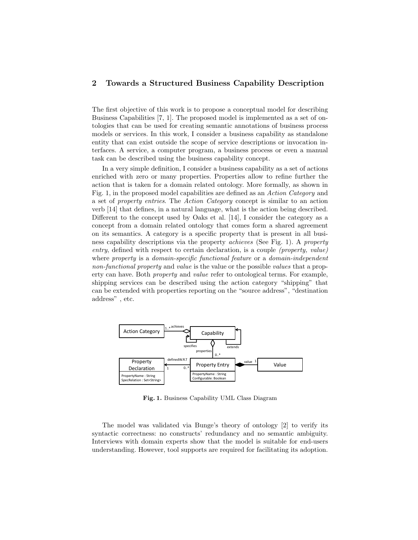### 2 Towards a Structured Business Capability Description

The first objective of this work is to propose a conceptual model for describing Business Capabilities [7, 1]. The proposed model is implemented as a set of ontologies that can be used for creating semantic annotations of business process models or services. In this work, I consider a business capability as standalone entity that can exist outside the scope of service descriptions or invocation interfaces. A service, a computer program, a business process or even a manual task can be described using the business capability concept.

In a very simple definition, I consider a business capability as a set of actions enriched with zero or many properties. Properties allow to refine further the action that is taken for a domain related ontology. More formally, as shown in Fig. 1, in the proposed model capabilities are defined as an Action Category and a set of property entries. The Action Category concept is similar to an action verb [14] that defines, in a natural language, what is the action being described. Different to the concept used by Oaks et al. [14], I consider the category as a concept from a domain related ontology that comes form a shared agreement on its semantics. A category is a specific property that is present in all business capability descriptions via the property achieves (See Fig. 1). A property entry, defined with respect to certain declaration, is a couple (property, value) where property is a domain-specific functional feature or a domain-independent non-functional property and value is the value or the possible values that a property can have. Both property and value refer to ontological terms. For example, shipping services can be described using the action category "shipping" that can be extended with properties reporting on the "source address", "destination address" , etc.



Fig. 1. Business Capability UML Class Diagram

The model was validated via Bunge's theory of ontology [2] to verify its syntactic correctness: no constructs' redundancy and no semantic ambiguity. Interviews with domain experts show that the model is suitable for end-users understanding. However, tool supports are required for facilitating its adoption.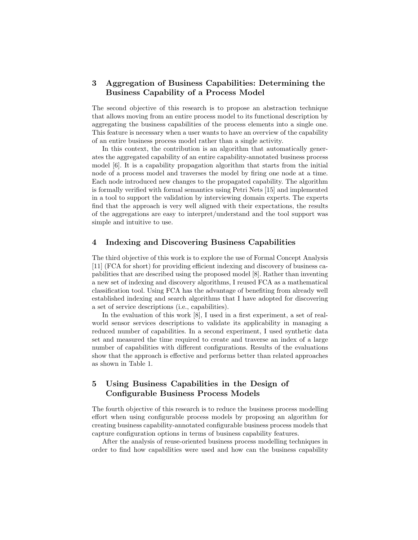## 3 Aggregation of Business Capabilities: Determining the Business Capability of a Process Model

The second objective of this research is to propose an abstraction technique that allows moving from an entire process model to its functional description by aggregating the business capabilities of the process elements into a single one. This feature is necessary when a user wants to have an overview of the capability of an entire business process model rather than a single activity.

In this context, the contribution is an algorithm that automatically generates the aggregated capability of an entire capability-annotated business process model [6]. It is a capability propagation algorithm that starts from the initial node of a process model and traverses the model by firing one node at a time. Each node introduced new changes to the propagated capability. The algorithm is formally verified with formal semantics using Petri Nets [15] and implemented in a tool to support the validation by interviewing domain experts. The experts find that the approach is very well aligned with their expectations, the results of the aggregations are easy to interpret/understand and the tool support was simple and intuitive to use.

#### 4 Indexing and Discovering Business Capabilities

The third objective of this work is to explore the use of Formal Concept Analysis [11] (FCA for short) for providing efficient indexing and discovery of business capabilities that are described using the proposed model [8]. Rather than inventing a new set of indexing and discovery algorithms, I reused FCA as a mathematical classification tool. Using FCA has the advantage of benefiting from already well established indexing and search algorithms that I have adopted for discovering a set of service descriptions (i.e., capabilities).

In the evaluation of this work [8], I used in a first experiment, a set of realworld sensor services descriptions to validate its applicability in managing a reduced number of capabilities. In a second experiment, I used synthetic data set and measured the time required to create and traverse an index of a large number of capabilities with different configurations. Results of the evaluations show that the approach is effective and performs better than related approaches as shown in Table 1.

## 5 Using Business Capabilities in the Design of Configurable Business Process Models

The fourth objective of this research is to reduce the business process modelling effort when using configurable process models by proposing an algorithm for creating business capability-annotated configurable business process models that capture configuration options in terms of business capability features.

After the analysis of reuse-oriented business process modelling techniques in order to find how capabilities were used and how can the business capability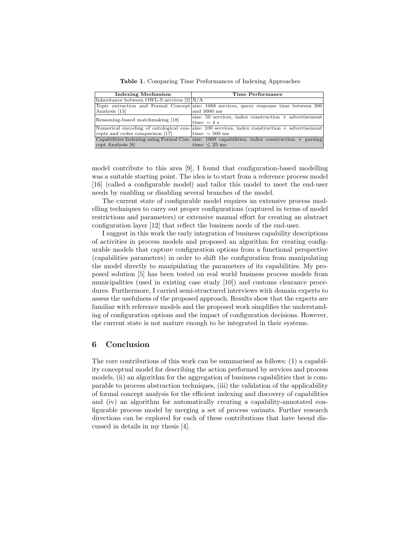Table 1. Comparing Time Performances of Indexing Approaches

| <b>Indexing Mechanism</b>                     | Time Performance                                                                                  |
|-----------------------------------------------|---------------------------------------------------------------------------------------------------|
| Inheritance between OWL-S services $[3  N/A]$ |                                                                                                   |
|                                               | Topic extraction and Formal Concept size: 1088 services, query response time between 300          |
| Analysis [13]                                 | and 3000 ms                                                                                       |
| Reasoning-based matchmaking [18]              | size: $50$ services, index construction $+$ advertisement                                         |
|                                               | time: $\sim$ 4 s                                                                                  |
|                                               | Numerical encoding of ontological con- $size: 100$ services, index construction $+$ advertisement |
| cepts and codes comparison [17]               | time: $\sim$ 500 ms                                                                               |
|                                               | Capabilities Indexing using Formal Con- size: 1000 capabilities, index construction $+$ parsing   |
| cept Analysis [8]                             | time: $<$ 25 ms                                                                                   |

model contribute to this area [9], I found that configuration-based modelling was a suitable starting point. The idea is to start from a reference process model [16] (called a configurable model) and tailor this model to meet the end-user needs by enabling or disabling several branches of the model.

The current state of configurable model requires an extensive process modelling techniques to carry out proper configurations (captured in terms of model restrictions and parameters) or extensive manual effort for creating an abstract configuration layer [12] that reflect the business needs of the end-user.

I suggest in this work the early integration of business capability descriptions of activities in process models and proposed an algorithm for creating configurable models that capture configuration options from a functional perspective (capabilities parameters) in order to shift the configuration from manipulating the model directly to manipulating the parameters of its capabilities. My proposed solution [5] has been tested on real world business process models from municipalities (used in existing case study [10]) and customs clearance procedures. Furthermore, I carried semi-structured interviews with domain experts to assess the usefulness of the proposed approach. Results show that the experts are familiar with reference models and the proposed work simplifies the understanding of configuration options and the impact of configuration decisions. However, the current state is not mature enough to be integrated in their systems.

#### 6 Conclusion

The core contributions of this work can be summarised as follows: (1) a capability conceptual model for describing the action performed by services and process models, (ii) an algorithm for the aggregation of business capabilities that is comparable to process abstraction techniques, (iii) the validation of the applicability of formal concept analysis for the efficient indexing and discovery of capabilities and (iv) an algorithm for automatically creating a capability-annotated configurable process model by merging a set of process variants. Further research directions can be explored for each of these contributions that have beend discussed in details in my thesis [4].